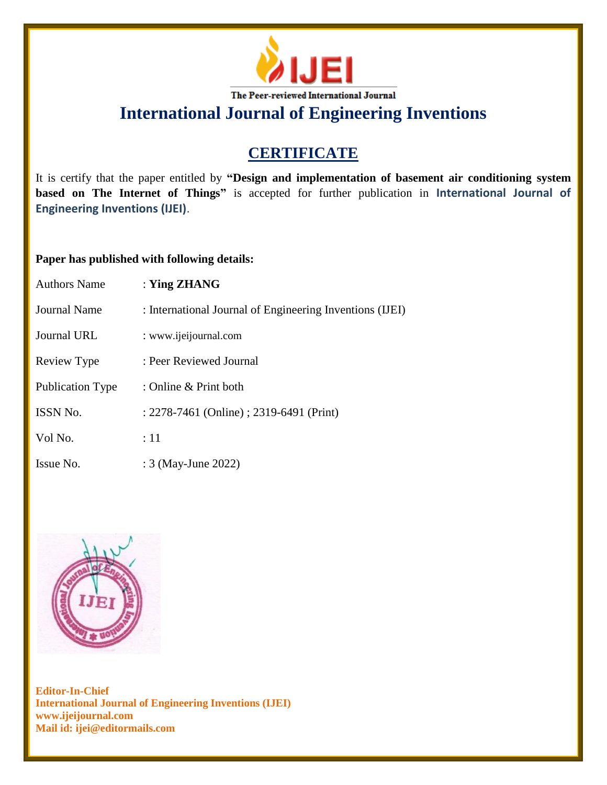

# **CERTIFICATE**

It is certify that the paper entitled by **"Design and implementation of basement air conditioning system based on The Internet of Things"** is accepted for further publication in **International Journal of Engineering Inventions (IJEI)**.

### **Paper has published with following details:**

| <b>Authors Name</b> | : Ying $ZHANG$                                           |
|---------------------|----------------------------------------------------------|
| Journal Name        | : International Journal of Engineering Inventions (IJEI) |
| Journal URL         | : www.ijeijournal.com                                    |
| Review Type         | : Peer Reviewed Journal                                  |
| Publication Type    | : Online & Print both                                    |
| ISSN No.            | : 2278-7461 (Online) ; 2319-6491 (Print)                 |
| Vol No.             | :11                                                      |
| Issue No.           | : 3 (May-June 2022)                                      |

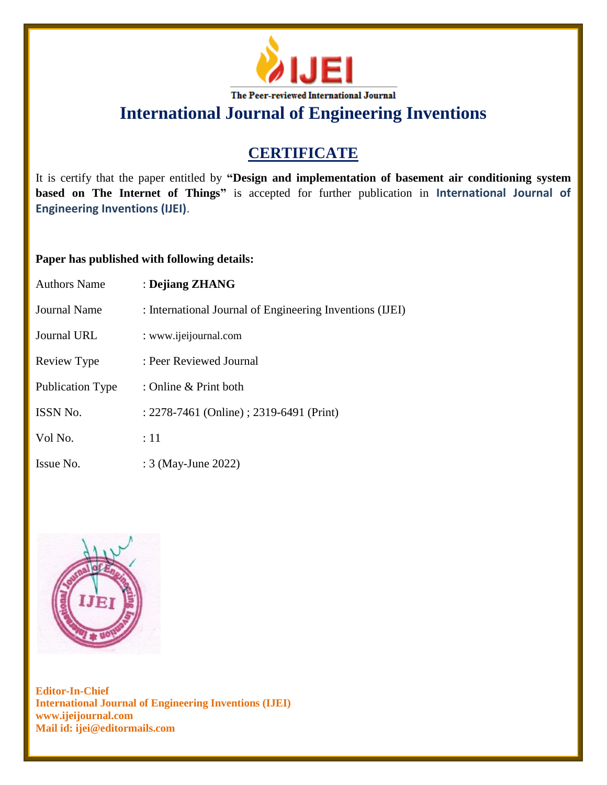

# **CERTIFICATE**

It is certify that the paper entitled by **"Design and implementation of basement air conditioning system based on The Internet of Things"** is accepted for further publication in **International Journal of Engineering Inventions (IJEI)**.

### **Paper has published with following details:**

| <b>Authors Name</b>     | : Dejiang ZHANG                                          |
|-------------------------|----------------------------------------------------------|
| Journal Name            | : International Journal of Engineering Inventions (IJEI) |
| Journal URL             | : www.ijeijournal.com                                    |
| Review Type             | : Peer Reviewed Journal                                  |
| <b>Publication Type</b> | : Online & Print both                                    |
| ISSN No.                | : 2278-7461 (Online) ; 2319-6491 (Print)                 |
| Vol No.                 | $\div 11$                                                |
| Issue No.               | : 3 (May-June 2022)                                      |

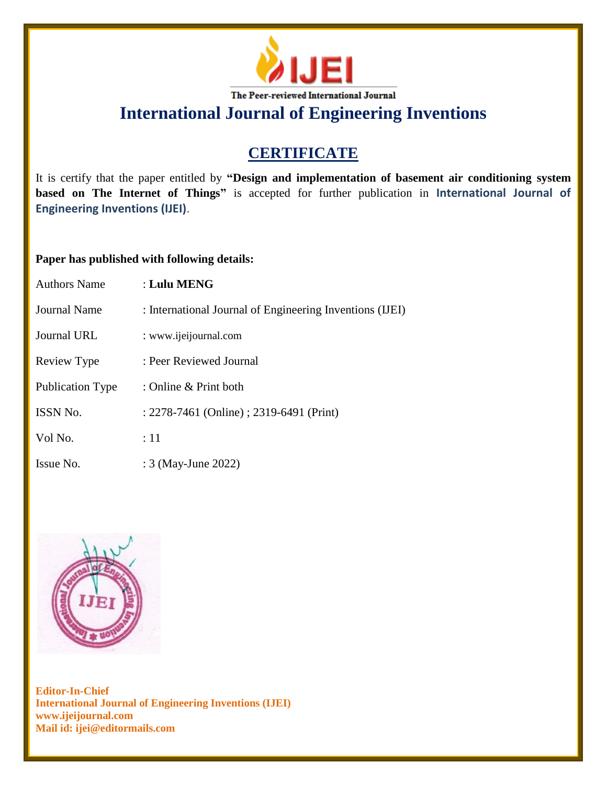

# **CERTIFICATE**

It is certify that the paper entitled by **"Design and implementation of basement air conditioning system based on The Internet of Things"** is accepted for further publication in **International Journal of Engineering Inventions (IJEI)**.

### **Paper has published with following details:**

| <b>Authors Name</b>     | $:$ Lulu MENG                                            |
|-------------------------|----------------------------------------------------------|
| Journal Name            | : International Journal of Engineering Inventions (IJEI) |
| Journal URL             | : www.ijeijournal.com                                    |
| Review Type             | : Peer Reviewed Journal                                  |
| <b>Publication Type</b> | : Online & Print both                                    |
| <b>ISSN No.</b>         | : 2278-7461 (Online) ; 2319-6491 (Print)                 |
| Vol No.                 | :11                                                      |
| Issue No.               | : 3 (May-June 2022)                                      |

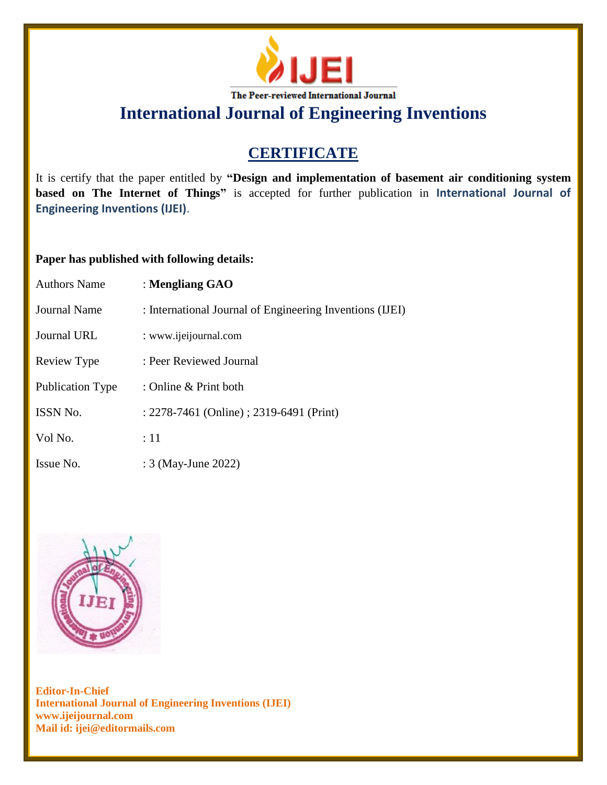

# **CERTIFICATE**

It is certify that the paper entitled by **"Design and implementation of basement air conditioning system based on The Internet of Things"** is accepted for further publication in **International Journal of Engineering Inventions (IJEI)**.

### **Paper has published with following details:**

| <b>Authors Name</b> | : Mengliang GAO                                          |
|---------------------|----------------------------------------------------------|
| Journal Name        | : International Journal of Engineering Inventions (IJEI) |
| <b>Journal URL</b>  | : www.ijeijournal.com                                    |
| Review Type         | : Peer Reviewed Journal                                  |
| Publication Type    | : Online & Print both                                    |
| ISSN No.            | : 2278-7461 (Online) ; 2319-6491 (Print)                 |
| Vol No.             | :11                                                      |
| Issue No.           | : 3 (May-June 2022)                                      |

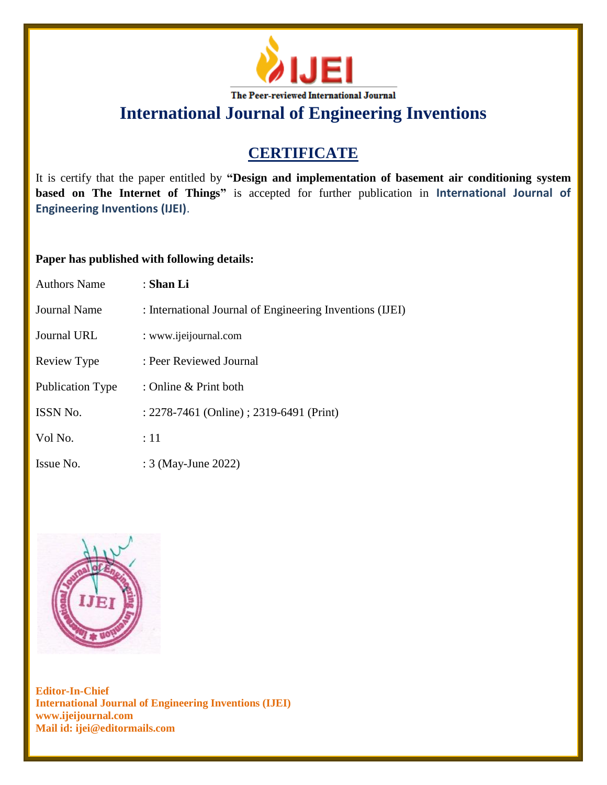

# **CERTIFICATE**

It is certify that the paper entitled by **"Design and implementation of basement air conditioning system based on The Internet of Things"** is accepted for further publication in **International Journal of Engineering Inventions (IJEI)**.

### **Paper has published with following details:**

| <b>Authors Name</b>     | : Shan Li                                                |
|-------------------------|----------------------------------------------------------|
| Journal Name            | : International Journal of Engineering Inventions (IJEI) |
| <b>Journal URL</b>      | : www.ijeijournal.com                                    |
| Review Type             | : Peer Reviewed Journal                                  |
| <b>Publication Type</b> | : Online & Print both                                    |
| ISSN No.                | : 2278-7461 (Online) ; 2319-6491 (Print)                 |
| Vol No.                 | :11                                                      |
| Issue No.               | : 3 (May-June 2022)                                      |

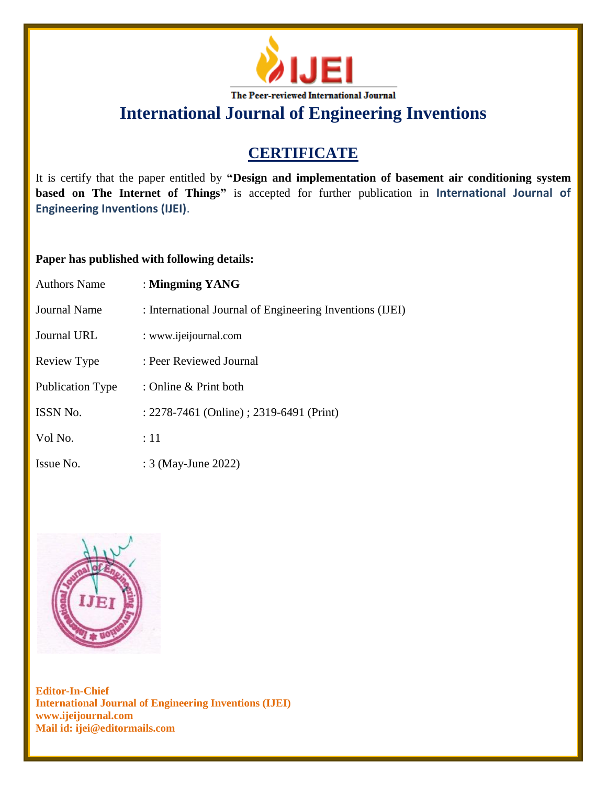

# **CERTIFICATE**

It is certify that the paper entitled by **"Design and implementation of basement air conditioning system based on The Internet of Things"** is accepted for further publication in **International Journal of Engineering Inventions (IJEI)**.

### **Paper has published with following details:**

| <b>Authors Name</b>     | : Mingming YANG                                          |
|-------------------------|----------------------------------------------------------|
| Journal Name            | : International Journal of Engineering Inventions (IJEI) |
| <b>Journal URL</b>      | : www.ijeijournal.com                                    |
| Review Type             | : Peer Reviewed Journal                                  |
| <b>Publication Type</b> | : Online & Print both                                    |
| ISSN No.                | : 2278-7461 (Online) ; 2319-6491 (Print)                 |
| Vol No.                 | :11                                                      |
| Issue No.               | : 3 (May-June 2022)                                      |